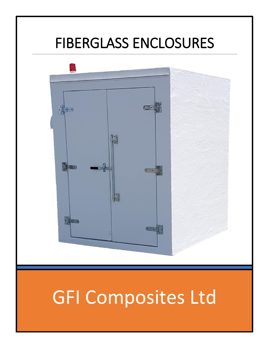# FIBERGLASS ENCLOSURES



# GFI Composites Ltd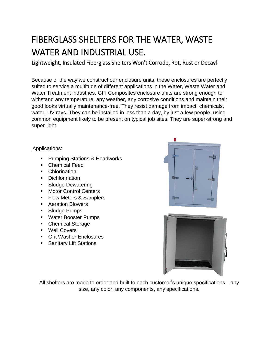# FIBERGLASS SHELTERS FOR THE WATER, WASTE WATER AND INDUSTRIAL USE.

Lightweight, Insulated Fiberglass Shelters Won't Corrode, Rot, Rust or Decay!

Because of the way we construct our enclosure units, these enclosures are perfectly suited to service a multitude of different applications in the Water, Waste Water and Water Treatment industries. GFI Composites enclosure units are strong enough to withstand any temperature, any weather, any corrosive conditions and maintain their good looks virtually maintenance-free. They resist damage from impact, chemicals, water, UV rays. They can be installed in less than a day, by just a few people, using common equipment likely to be present on typical job sites. They are super-strong and super-light.

Applications:

- Pumping Stations & Headworks
- Chemical Feed
- Chlorination
- Dichlorination
- Sludge Dewatering
- Motor Control Centers
- Flow Meters & Samplers
- Aeration Blowers
- Sludge Pumps
- Water Booster Pumps
- Chemical Storage
- Well Covers
- Grit Washer Enclosures
- Sanitary Lift Stations





All shelters are made to order and built to each customer's unique specifications—any size, any color, any components, any specifications.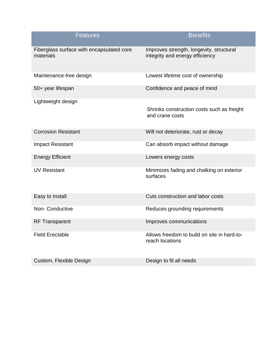| <b>Features</b>                                        | <b>Benefits</b>                                                             |
|--------------------------------------------------------|-----------------------------------------------------------------------------|
| Fiberglass surface with encapsulated core<br>materials | Improves strength, longevity, structural<br>integrity and energy efficiency |
| Maintenance-free design                                | Lowest lifetime cost of ownership                                           |
| 50+ year lifespan                                      | Confidence and peace of mind                                                |
| Lightweight design                                     | Shrinks construction costs such as freight<br>and crane costs               |
| <b>Corrosion Resistant</b>                             | Will not deteriorate, rust or decay                                         |
| <b>Impact Resistant</b>                                | Can absorb impact without damage                                            |
| <b>Energy Efficient</b>                                | Lowers energy costs                                                         |
| <b>UV Resistant</b>                                    | Minimizes fading and chalking on exterior<br>surfaces                       |
| Easy to Install                                        | Cuts construction and labor costs                                           |
| <b>Non-Conductive</b>                                  | Reduces grounding requirements                                              |
| <b>RF Transparent</b>                                  | Improves communications                                                     |
| <b>Field Erectable</b>                                 | Allows freedom to build on site in hard-to-<br>reach locations              |
| Custom, Flexible Design                                | Design to fit all needs                                                     |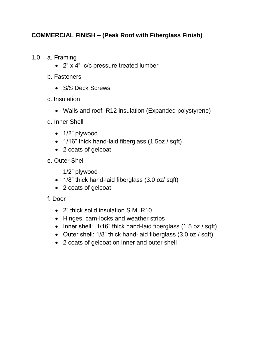## **COMMERCIAL FINISH – (Peak Roof with Fiberglass Finish)**

- 1.0 a. Framing
	- 2" x 4" c/c pressure treated lumber
	- b. Fasteners
		- S/S Deck Screws
	- c. Insulation
		- Walls and roof: R12 insulation (Expanded polystyrene)
	- d. Inner Shell
		- 1/2" plywood
		- 1/16" thick hand-laid fiberglass (1.5oz / sqft)
		- 2 coats of gelcoat
	- e. Outer Shell

1/2" plywood

- 1/8" thick hand-laid fiberglass (3.0 oz/ sqft)
- 2 coats of gelcoat
- f. Door
	- 2" thick solid insulation S.M. R10
	- Hinges, cam-locks and weather strips
	- Inner shell: 1/16" thick hand-laid fiberglass (1.5 oz / sqft)
	- Outer shell: 1/8" thick hand-laid fiberglass (3.0 oz / sqft)
	- 2 coats of gelcoat on inner and outer shell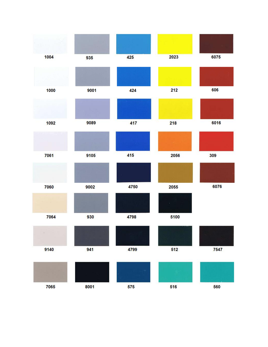| 1004 | 935  | 425  | 2023 | 6075 |
|------|------|------|------|------|
|      |      |      |      |      |
| 1000 | 9001 | 424  | 212  | 606  |
|      |      |      |      |      |
| 1092 | 9089 | 417  | 218  | 6016 |
|      |      |      |      |      |
| 7061 | 9105 | 415  | 2056 | 309  |
|      |      |      |      |      |
| 7060 | 9002 | 4750 | 2055 | 6076 |
|      |      |      |      |      |
| 7064 | 930  | 4798 | 5100 |      |
|      |      |      |      |      |
| 9140 | 941  | 4799 | 512  | 7547 |
|      |      |      |      |      |
| 7065 | 8001 | 575  | 516  | 560  |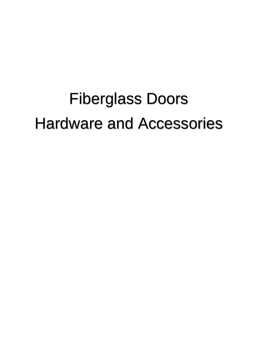# Fiberglass Doors Hardware and Accessories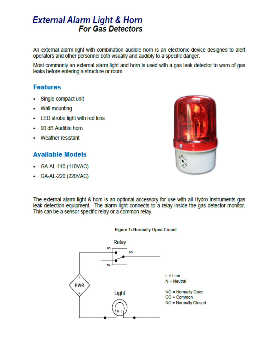# **External Alarm Light & Horn For Gas Detectors**

An external alarm light with combination audible horn is an electronic device designed to alert operators and other personnel both visually and audibly to a specific danger.

Most commonly an external alarm light and horn is used with a gas leak detector to warn of gas leaks before entering a structure or room.

# **Features**

- Single compact unit ٠
- **Wall mounting**
- LED strobe light with red lens ٠
- 90 dB Audible horn
- Weather resistant

## **Available Models**

- GA-AL-110 (110VAC)
- GA-AL-220 (220VAC)



The external alarm light & hom is an optional accessory for use with all Hydro Instruments gas leak detection equipment. The alarm light connects to a relay inside the gas detector monitor. This can be a sensor specific relay or a common relay.



### **Figure 1: Normally Open Circuit**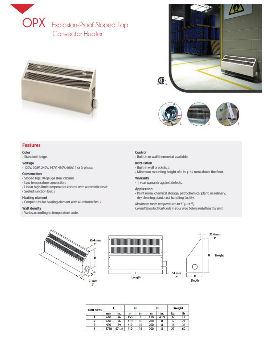





#### Color

- Standard: beige.

#### Voltage

- 120V, 208V, 240V, 347V, 480V, 600V, 1 or 3-phase.

#### Construction

- Sloped top, 18-gauge steel cabinet.
- Low temperature convection.
- Linear high-limit temperature control with automatic reset.
- Sealed junction box. 1

#### **Heating element**

- Cooper tubular heating element with aluminum fins. 2

#### **Watt density**

- Varies according to temperature code.



- Built-in or wall thermostat available.

#### **Installation**

- Built-in wall brackets. 3
- Minimum mounting height of 6 in. (152 mm) above the floor.

#### Warranty

- 1-year warranty against defects.

#### **Application**

- Paint room, chemical storage, petrochemical plant, oil refinery, dry cleaning plant, coal handling facility.
- Maximum room temperature: 40 ℃ (104 °F).
- Consult the Electrical Code in your area before installing this unit.





| <b>Unit Sizes</b> |      |       | н   |     | D   |      | Weight |    |
|-------------------|------|-------|-----|-----|-----|------|--------|----|
|                   | mm   | In.   | m   | In. | m   | In.  | kg     | lb |
|                   | 660  | 26    | 150 | 6   | 110 | 41/2 | b      |    |
|                   | 660  | 26    | 410 | 16  | 200 | 8    | 12     |    |
| 3                 | 990  | 39    | 410 | 16  | 200 | 8    | 16     | 36 |
| 4                 | 1710 | 671/2 | 410 | 16  | 200 | 8    | 27     | 60 |



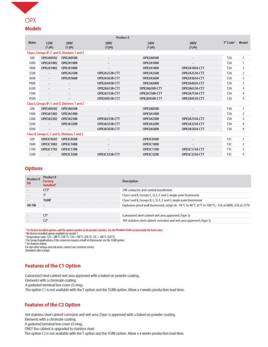

| <b>Watts</b> | <b>120V</b>              | <b>208V</b>                                                 |                       |                      |                      |                                  |                |
|--------------|--------------------------|-------------------------------------------------------------|-----------------------|----------------------|----------------------|----------------------------------|----------------|
|              | (1ph)                    | (1ph)                                                       | <b>208V</b><br>(3 ph) | <b>240V</b><br>(1ph) | 480V<br>(3 ph)       | T <sup>e</sup> Code <sup>2</sup> | Model          |
|              |                          | Class I, Groups B <sup>3</sup> , C and D, Divisions 1 and 2 |                       |                      |                      |                                  |                |
| 500          | OPX2A0502                | <b>OPX2A0508</b>                                            |                       | <b>OPX2A0500</b>     |                      | T <sub>2</sub> A                 |                |
| 1000         | OPX2A1002                | OPX2A1008                                                   |                       | OPX2A1000            |                      | T <sub>2</sub> A                 | 1              |
| 1800         | OPX2A1802                | OPX2A1808                                                   |                       | OPX2A1800            | OPX2A1834-CTT        | T <sub>2</sub> A                 | $\mathbf{Z}$   |
| 2500         |                          | OPX2A2508                                                   | OPX2A2538-CTT         | OPX2A2500            | OPX2A2534-CTT        | T <sub>2</sub> A                 | $\overline{2}$ |
| 3600         | $\sim$                   | OPX2A3608                                                   | OPX2A3638-CTT         | OPX2A3600            | OPX2A3634-CTT        | T <sub>2</sub> A                 | 3              |
| 4400         | $\sim$                   |                                                             | OPX2A4438-CTT         | OPX2A4400            | OPX2A4434-CTT        | T <sub>2</sub> A                 | 3              |
| 6500         | $\sim$                   | $\overline{a}$                                              | OPX2A6538-CTT         | OPX2A6500-CTT        | OPX2A6534-CTT        | T <sub>2</sub> A                 | 4              |
| 7500         | $\sim$                   | $\omega$                                                    | OPX2A7538-CTT         | OPX2A7500-CTT        | OPX2A7534-CTT        | T <sub>2</sub> A                 | 4              |
| 9500         | $\overline{\phantom{a}}$ |                                                             | <b>OPX2A9538-CTT</b>  | OPX2A9500-CTT        | OPX2A9534-CTT        | T <sub>2</sub> A                 | 4              |
|              |                          | Class I, Groups B <sup>1</sup> , C and D, Divisions 1 and 2 |                       |                      |                      |                                  |                |
| 500          | OPX3A0502                | <b>OPX3A0508</b>                                            |                       | <b>OPX3A0500</b>     |                      | T3A                              | 1              |
| 1400         | OPX3A1402                | OPX3A1408                                                   |                       | OPX3A1400            |                      | T <sub>3</sub> A                 | $\overline{2}$ |
| 2300         | OPX3A2302                | OPX3A2308                                                   | OPX3A2338-CTT         | OPX3A2300            | OPX3A2334-CTT        | T3A                              | 3              |
| 3200         | $\overline{\phantom{a}}$ | OPX3A3208                                                   | <b>OPX3A3238-CTT</b>  | OPX3A3200            | OPX3A3234-CTT        | T3A                              | 4              |
| 5000         | $\overline{\phantom{a}}$ |                                                             | OPX3A5038-CTT         | OPX3A5000            | OPX3A5034-CTT        | T3A                              | 4              |
|              |                          | Class II, Groups E, F and G, Divisions 1 and 2              |                       |                      |                      |                                  |                |
| 500          | OPX3C0502                | <b>OPX3C0508</b>                                            |                       | OPX3C0500            |                      | T3C                              | 1              |
| 1000         | OPX3C1002                | OPX3C1008                                                   |                       | OPX3C1000            |                      | T3C                              | $\overline{2}$ |
| 1700         | OPX3C1702                | OPX3C1708                                                   |                       | OPX3C1700            | OPX3C1734-CTT        | T <sub>3C</sub>                  | 3              |
| 3200         | ۰                        | OPX3C3208                                                   | OPX3C3238-CTT         | OPX3C3200            | <b>OPX3C3234-CTT</b> | T3C                              | 4              |

### **Options**

| Product #<br>Kit | Product #<br>Factory<br>Installed* | <b>Description</b>                                                                                    |  |  |
|------------------|------------------------------------|-------------------------------------------------------------------------------------------------------|--|--|
|                  | CTT                                | 24V contactor and control transformer                                                                 |  |  |
|                  | г                                  | Class I and II, Groups C, D, E, F and G single-pole thermostat                                        |  |  |
|                  | <b>TGRB</b>                        | Class I and II, Groups B, C, D, E, F and G single-pole thermostat                                     |  |  |
| XB-TM            |                                    | Explosion-proof wall thermostat, range de -18 °C to 40 °C (0 °F to 100 °F) : 15A at 600V, 25A at 277V |  |  |
|                  | C1 <sup>6</sup>                    | Galvanized steel cabinet wet area approved (Type 3)                                                   |  |  |
|                  | C2 <sup>6</sup>                    | 304 stainless steel cabinet corrosion and wet area approved (Type 3)                                  |  |  |

\* For factory installed options add the option number to the product number. See the Product Code section inside the front cover.

1 No factory installed option available for model 1.<br>
<sup>2</sup> Temperature code: T2A = 280 °C (536 °F). T3A = 180 °C (356 °F). T3C = 160 °C (320 °F).

<sup>3</sup> For Group B applications. if the convector requires a built-in thermostat. use the TGRB option.

<sup>1</sup> See features below.

For any other ratings and risk areas contact our customer service.<br>Standard color is beige.

## **Features of the C1 Option**

Galvanized steel cabinet wet area approved with a baked on powder coating. Elements with a chromate coating.

A gasketed terminal box cover (O-ring).

The option C1 is not available with the T option and the TGRB option. Allow a 4 weeks production lead time.

## **Features of the C2 Option**

304 stainless steel cabinet corrosion and wet area (Type 3) approved with a baked on powder coating. Elements with a chromate coating. A gasketed terminal box cover (O-ring). ONLY the cabinet is upgraded to stainless steel. The option C2 is not available with the Toption and the TGRB option. Allow a 4 weeks production lead time.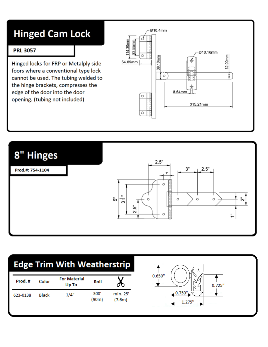# **Hinged Cam Lock**

## **PRL 3057**

Hinged locks for FRP or Metalply side foors where a conventional type lock cannot be used. The tubing welded to the hinge brackets, compresses the edge of the door into the door opening. (tubing not included)





# **Edge Trim With Weatherstrip**

| Prod.#   | Color | <b>For Material</b><br>Up To | Roll          |                    |
|----------|-------|------------------------------|---------------|--------------------|
| 623-0138 | Black | 1/4"                         | 300'<br>(90m) | min. 25'<br>(7.6m) |

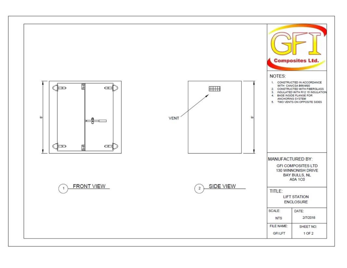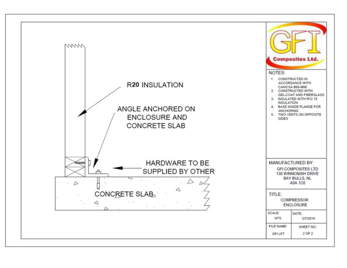